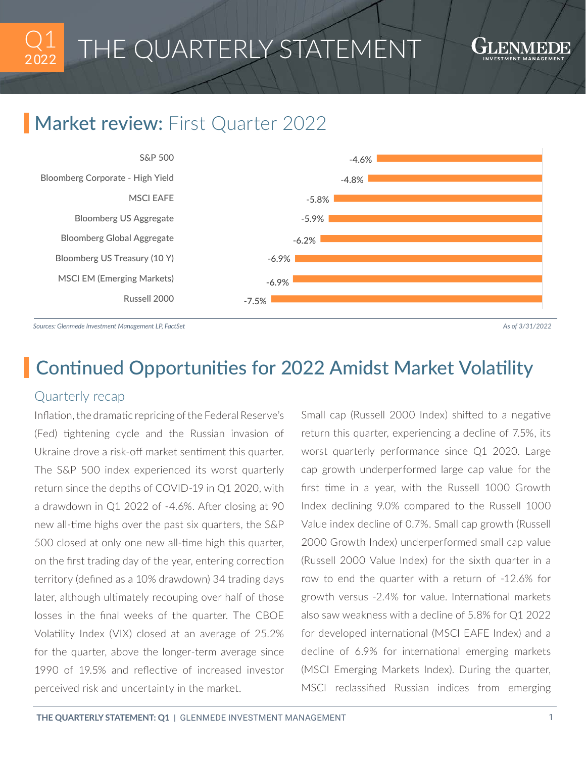## THE QUARTERLY STATEMENT 2022



# Market review: First Quarter 2022



## Continued Opportunities for 2022 Amidst Market Volatility

#### Quarterly recap

Inflation, the dramatic repricing of the Federal Reserve's (Fed) tightening cycle and the Russian invasion of Ukraine drove a risk-off market sentiment this quarter. The S&P 500 index experienced its worst quarterly return since the depths of COVID-19 in Q1 2020, with a drawdown in Q1 2022 of -4.6%. After closing at 90 new all-time highs over the past six quarters, the S&P 500 closed at only one new all-time high this quarter, on the first trading day of the year, entering correction territory (defined as a 10% drawdown) 34 trading days later, although ultimately recouping over half of those losses in the final weeks of the quarter. The CBOE Volatility Index (VIX) closed at an average of 25.2% for the quarter, above the longer-term average since 1990 of 19.5% and reflective of increased investor perceived risk and uncertainty in the market.

Small cap (Russell 2000 Index) shifted to a negative return this quarter, experiencing a decline of 7.5%, its worst quarterly performance since Q1 2020. Large cap growth underperformed large cap value for the first time in a year, with the Russell 1000 Growth Index declining 9.0% compared to the Russell 1000 Value index decline of 0.7%. Small cap growth (Russell 2000 Growth Index) underperformed small cap value (Russell 2000 Value Index) for the sixth quarter in a row to end the quarter with a return of -12.6% for growth versus -2.4% for value. International markets also saw weakness with a decline of 5.8% for Q1 2022 for developed international (MSCI EAFE Index) and a decline of 6.9% for international emerging markets (MSCI Emerging Markets Index). During the quarter, MSCI reclassified Russian indices from emerging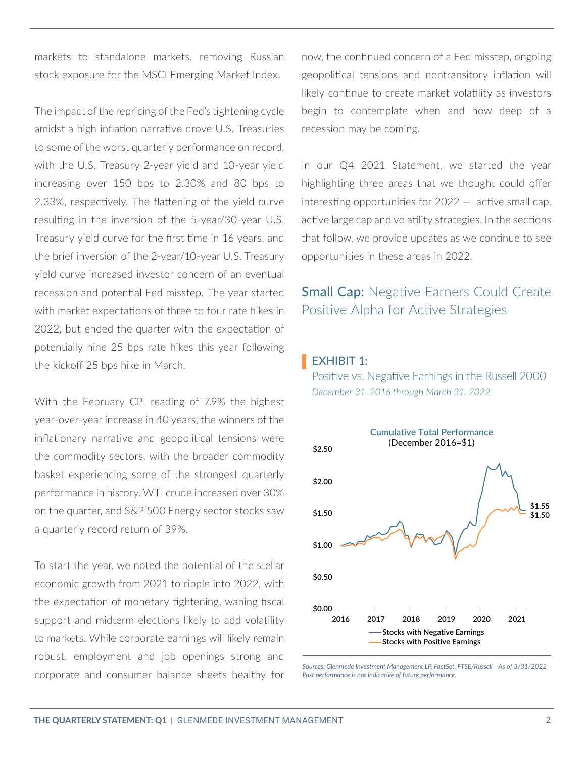markets to standalone markets, removing Russian stock exposure for the MSCI Emerging Market Index.

The impact of the repricing of the Fed's tightening cycle amidst a high inflation narrative drove U.S. Treasuries to some of the worst quarterly performance on record, with the U.S. Treasury 2-year yield and 10-year yield increasing over 150 bps to 2.30% and 80 bps to 2.33%, respectively. The flattening of the yield curve resulting in the inversion of the 5-year/30-year U.S. Treasury yield curve for the first time in 16 years, and the brief inversion of the 2-year/10-year U.S. Treasury yield curve increased investor concern of an eventual recession and potential Fed misstep. The year started with market expectations of three to four rate hikes in 2022, but ended the quarter with the expectation of potentially nine 25 bps rate hikes this year following the kickoff 25 bps hike in March.

With the February CPI reading of 7.9% the highest year-over-year increase in 40 years, the winners of the inflationary narrative and geopolitical tensions were the commodity sectors, with the broader commodity basket experiencing some of the strongest quarterly performance in history. WTI crude increased over 30% on the quarter, and S&P 500 Energy sector stocks saw a quarterly record return of 39%.

To start the year, we noted the potential of the stellar economic growth from 2021 to ripple into 2022, with the expectation of monetary tightening, waning fiscal support and midterm elections likely to add volatility to markets. While corporate earnings will likely remain robust, employment and job openings strong and corporate and consumer balance sheets healthy for

now, the continued concern of a Fed misstep, ongoing geopolitical tensions and nontransitory inflation will likely continue to create market volatility as investors begin to contemplate when and how deep of a recession may be coming.

In our [Q4 2021 Statement](https://www.glenmedeim.com/insights/the-quarterly-statement-q4-2022/), we started the year highlighting three areas that we thought could offer interesting opportunities for 2022 — active small cap, active large cap and volatility strategies. In the sections that follow, we provide updates as we continue to see opportunities in these areas in 2022.

## **Small Cap: Negative Earners Could Create** Positive Alpha for Active Strategies

#### **EXHIBIT 1:**

Positive vs. Negative Earnings in the Russell 2000 *December 31, 2016 through March 31, 2022*



*Sources: Glenmede Investment Management LP, FactSet, FTSE/Russell As of 3/31/2022 Past performance is not indicative of future performance.*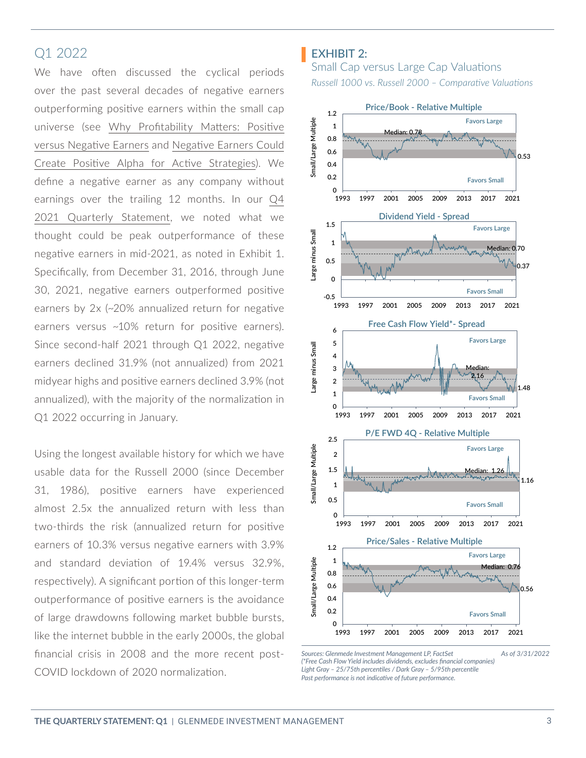## Q1 2022

We have often discussed the cyclical periods over the past several decades of negative earners outperforming positive earners within the small cap [universe \(see Why Profitability Matters: Positive](https://www.glenmedeim.com/insights/why-profitability-matters-positive-versus-negative-earners/)  [versus Negative Earners and Negative Earners Could](https://www.glenmedeim.com/insights/negative-earners-could-create-positive-alpha-for-active-strategies/)  Create Positive Alpha for Active Strategies). We define a negative earner as any company without [earnings over the trailing 12 months. In our Q4](https://www.glenmedeim.com/insights/the-quarterly-statement-q4-2022/) 2021 Quarterly Statement, we noted what we thought could be peak outperformance of these negative earners in mid-2021, as noted in Exhibit 1. Specifically, from December 31, 2016, through June 30, 2021, negative earners outperformed positive earners by 2x (~20% annualized return for negative earners versus ~10% return for positive earners). Since second-half 2021 through Q1 2022, negative earners declined 31.9% (not annualized) from 2021 midyear highs and positive earners declined 3.9% (not annualized), with the majority of the normalization in Q1 2022 occurring in January.

Using the longest available history for which we have usable data for the Russell 2000 (since December 31, 1986), positive earners have experienced almost 2.5x the annualized return with less than two-thirds the risk (annualized return for positive earners of 10.3% versus negative earners with 3.9% and standard deviation of 19.4% versus 32.9%, respectively). A significant portion of this longer-term outperformance of positive earners is the avoidance of large drawdowns following market bubble bursts, like the internet bubble in the early 2000s, the global financial crisis in 2008 and the more recent post-COVID lockdown of 2020 normalization.

### EXHIBIT 2:

Small Cap versus Large Cap Valuations *Russell 1000 vs. Russell 2000 – Comparative Valuations* 



*<sup>(\*</sup>Free Cash Flow Yield includes dividends, excludes financial companies) Light Gray – 25/75th percentiles / Dark Gray – 5/95th percentile Past performance is not indicative of future performance.*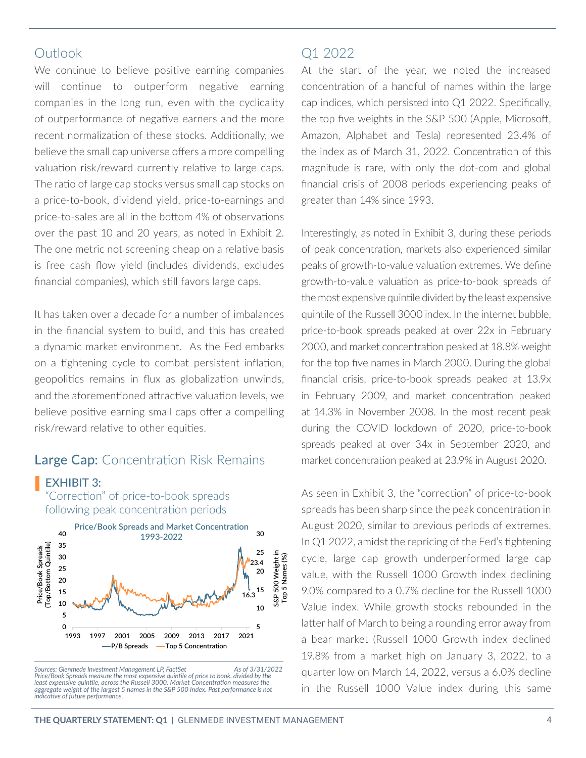#### Outlook

We continue to believe positive earning companies will continue to outperform negative earning companies in the long run, even with the cyclicality of outperformance of negative earners and the more recent normalization of these stocks. Additionally, we believe the small cap universe offers a more compelling valuation risk/reward currently relative to large caps. The ratio of large cap stocks versus small cap stocks on a price-to-book, dividend yield, price-to-earnings and price-to-sales are all in the bottom 4% of observations over the past 10 and 20 years, as noted in Exhibit 2. The one metric not screening cheap on a relative basis is free cash flow yield (includes dividends, excludes financial companies), which still favors large caps.

It has taken over a decade for a number of imbalances in the financial system to build, and this has created a dynamic market environment. As the Fed embarks on a tightening cycle to combat persistent inflation, geopolitics remains in flux as globalization unwinds, and the aforementioned attractive valuation levels, we believe positive earning small caps offer a compelling risk/reward relative to other equities.

## Large Cap: Concentration Risk Remains

#### EXHIBIT 3:

"Correction" of price-to-book spreads following peak concentration periods



Sources: Glenmede Investment Management LP, FactSet As of 3/31/2022 *Price/Book Spreads measure the most expensive quintile of price to book, divided by the least expensive quintile, across the Russell 3000. Market Concentration measures the aggregate weight of the largest 5 names in the S&P 500 Index. Past performance is not indicative of future performance.*

#### Q1 2022

At the start of the year, we noted the increased concentration of a handful of names within the large cap indices, which persisted into Q1 2022. Specifically, the top five weights in the S&P 500 (Apple, Microsoft, Amazon, Alphabet and Tesla) represented 23.4% of the index as of March 31, 2022. Concentration of this magnitude is rare, with only the dot-com and global financial crisis of 2008 periods experiencing peaks of greater than 14% since 1993.

Interestingly, as noted in Exhibit 3, during these periods of peak concentration, markets also experienced similar peaks of growth-to-value valuation extremes. We define growth-to-value valuation as price-to-book spreads of the most expensive quintile divided by the least expensive quintile of the Russell 3000 index. In the internet bubble, price-to-book spreads peaked at over 22x in February 2000, and market concentration peaked at 18.8% weight for the top five names in March 2000. During the global financial crisis, price-to-book spreads peaked at 13.9x in February 2009, and market concentration peaked at 14.3% in November 2008. In the most recent peak during the COVID lockdown of 2020, price-to-book spreads peaked at over 34x in September 2020, and market concentration peaked at 23.9% in August 2020.

As seen in Exhibit 3, the "correction" of price-to-book spreads has been sharp since the peak concentration in August 2020, similar to previous periods of extremes. In Q1 2022, amidst the repricing of the Fed's tightening cycle, large cap growth underperformed large cap value, with the Russell 1000 Growth index declining 9.0% compared to a 0.7% decline for the Russell 1000 Value index. While growth stocks rebounded in the latter half of March to being a rounding error away from a bear market (Russell 1000 Growth index declined 19.8% from a market high on January 3, 2022, to a quarter low on March 14, 2022, versus a 6.0% decline in the Russell 1000 Value index during this same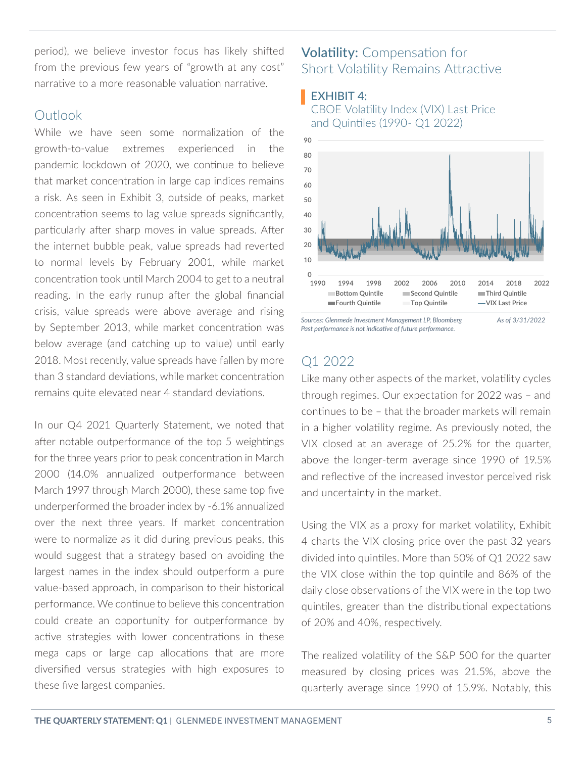period), we believe investor focus has likely shifted from the previous few years of "growth at any cost" narrative to a more reasonable valuation narrative.

## Outlook

While we have seen some normalization of the growth-to-value extremes experienced in the pandemic lockdown of 2020, we continue to believe that market concentration in large cap indices remains a risk. As seen in Exhibit 3, outside of peaks, market concentration seems to lag value spreads significantly, particularly after sharp moves in value spreads. After the internet bubble peak, value spreads had reverted to normal levels by February 2001, while market concentration took until March 2004 to get to a neutral reading. In the early runup after the global financial crisis, value spreads were above average and rising by September 2013, while market concentration was below average (and catching up to value) until early 2018. Most recently, value spreads have fallen by more than 3 standard deviations, while market concentration remains quite elevated near 4 standard deviations.

In our Q4 2021 Quarterly Statement, we noted that after notable outperformance of the top 5 weightings for the three years prior to peak concentration in March 2000 (14.0% annualized outperformance between March 1997 through March 2000), these same top five underperformed the broader index by -6.1% annualized over the next three years. If market concentration were to normalize as it did during previous peaks, this would suggest that a strategy based on avoiding the largest names in the index should outperform a pure value-based approach, in comparison to their historical performance. We continue to believe this concentration could create an opportunity for outperformance by active strategies with lower concentrations in these mega caps or large cap allocations that are more diversified versus strategies with high exposures to these five largest companies.

## **Volatility: Compensation for** Short Volatility Remains Attractive

#### EXHIBIT 4:

CBOE Volatility Index (VIX) Last Price and Quintiles (1990- Q1 2022)



*Sources: Glenmede Investment Management LP, Bloomberg As of 3/31/2022 Past performance is not indicative of future performance.*

## Q1 2022

Like many other aspects of the market, volatility cycles through regimes. Our expectation for 2022 was – and continues to be – that the broader markets will remain in a higher volatility regime. As previously noted, the VIX closed at an average of 25.2% for the quarter, above the longer-term average since 1990 of 19.5% and reflective of the increased investor perceived risk and uncertainty in the market.

Using the VIX as a proxy for market volatility, Exhibit 4 charts the VIX closing price over the past 32 years divided into quintiles. More than 50% of Q1 2022 saw the VIX close within the top quintile and 86% of the daily close observations of the VIX were in the top two quintiles, greater than the distributional expectations of 20% and 40%, respectively.

The realized volatility of the S&P 500 for the quarter measured by closing prices was 21.5%, above the quarterly average since 1990 of 15.9%. Notably, this